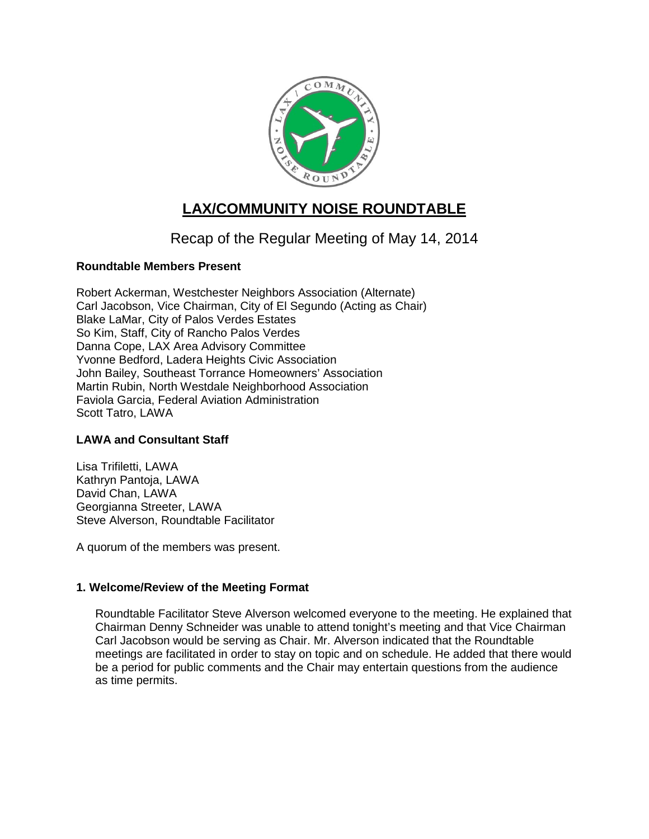

# **LAX/COMMUNITY NOISE ROUNDTABLE**

## Recap of the Regular Meeting of May 14, 2014

## **Roundtable Members Present**

Robert Ackerman, Westchester Neighbors Association (Alternate) Carl Jacobson, Vice Chairman, City of El Segundo (Acting as Chair) Blake LaMar, City of Palos Verdes Estates So Kim, Staff, City of Rancho Palos Verdes Danna Cope, LAX Area Advisory Committee Yvonne Bedford, Ladera Heights Civic Association John Bailey, Southeast Torrance Homeowners' Association Martin Rubin, North Westdale Neighborhood Association Faviola Garcia, Federal Aviation Administration Scott Tatro, LAWA

## **LAWA and Consultant Staff**

Lisa Trifiletti, LAWA Kathryn Pantoja, LAWA David Chan, LAWA Georgianna Streeter, LAWA Steve Alverson, Roundtable Facilitator

A quorum of the members was present.

#### **1. Welcome/Review of the Meeting Format**

Roundtable Facilitator Steve Alverson welcomed everyone to the meeting. He explained that Chairman Denny Schneider was unable to attend tonight's meeting and that Vice Chairman Carl Jacobson would be serving as Chair. Mr. Alverson indicated that the Roundtable meetings are facilitated in order to stay on topic and on schedule. He added that there would be a period for public comments and the Chair may entertain questions from the audience as time permits.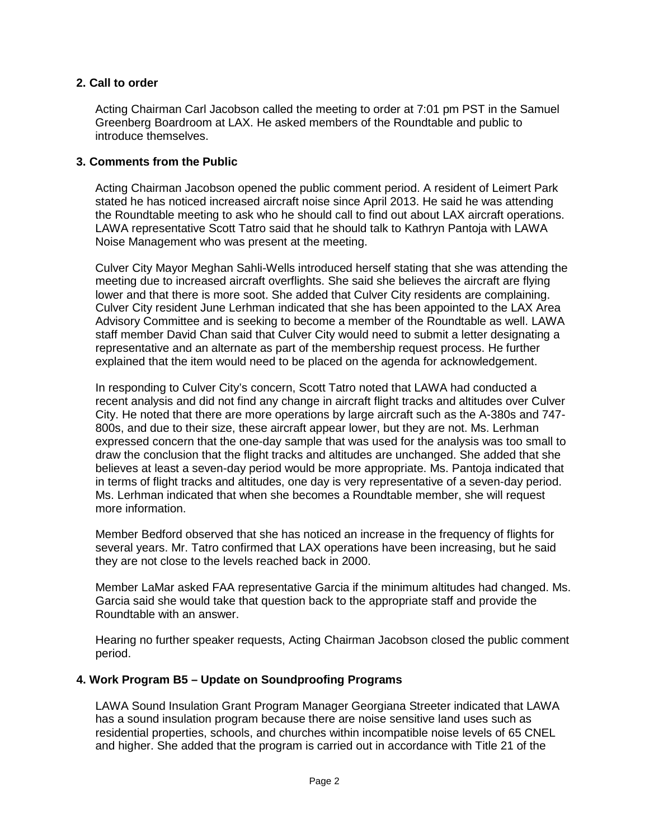#### **2. Call to order**

Acting Chairman Carl Jacobson called the meeting to order at 7:01 pm PST in the Samuel Greenberg Boardroom at LAX. He asked members of the Roundtable and public to introduce themselves.

#### **3. Comments from the Public**

Acting Chairman Jacobson opened the public comment period. A resident of Leimert Park stated he has noticed increased aircraft noise since April 2013. He said he was attending the Roundtable meeting to ask who he should call to find out about LAX aircraft operations. LAWA representative Scott Tatro said that he should talk to Kathryn Pantoja with LAWA Noise Management who was present at the meeting.

Culver City Mayor Meghan Sahli-Wells introduced herself stating that she was attending the meeting due to increased aircraft overflights. She said she believes the aircraft are flying lower and that there is more soot. She added that Culver City residents are complaining. Culver City resident June Lerhman indicated that she has been appointed to the LAX Area Advisory Committee and is seeking to become a member of the Roundtable as well. LAWA staff member David Chan said that Culver City would need to submit a letter designating a representative and an alternate as part of the membership request process. He further explained that the item would need to be placed on the agenda for acknowledgement.

In responding to Culver City's concern, Scott Tatro noted that LAWA had conducted a recent analysis and did not find any change in aircraft flight tracks and altitudes over Culver City. He noted that there are more operations by large aircraft such as the A-380s and 747- 800s, and due to their size, these aircraft appear lower, but they are not. Ms. Lerhman expressed concern that the one-day sample that was used for the analysis was too small to draw the conclusion that the flight tracks and altitudes are unchanged. She added that she believes at least a seven-day period would be more appropriate. Ms. Pantoja indicated that in terms of flight tracks and altitudes, one day is very representative of a seven-day period. Ms. Lerhman indicated that when she becomes a Roundtable member, she will request more information.

Member Bedford observed that she has noticed an increase in the frequency of flights for several years. Mr. Tatro confirmed that LAX operations have been increasing, but he said they are not close to the levels reached back in 2000.

Member LaMar asked FAA representative Garcia if the minimum altitudes had changed. Ms. Garcia said she would take that question back to the appropriate staff and provide the Roundtable with an answer.

Hearing no further speaker requests, Acting Chairman Jacobson closed the public comment period.

## **4. Work Program B5 – Update on Soundproofing Programs**

LAWA Sound Insulation Grant Program Manager Georgiana Streeter indicated that LAWA has a sound insulation program because there are noise sensitive land uses such as residential properties, schools, and churches within incompatible noise levels of 65 CNEL and higher. She added that the program is carried out in accordance with Title 21 of the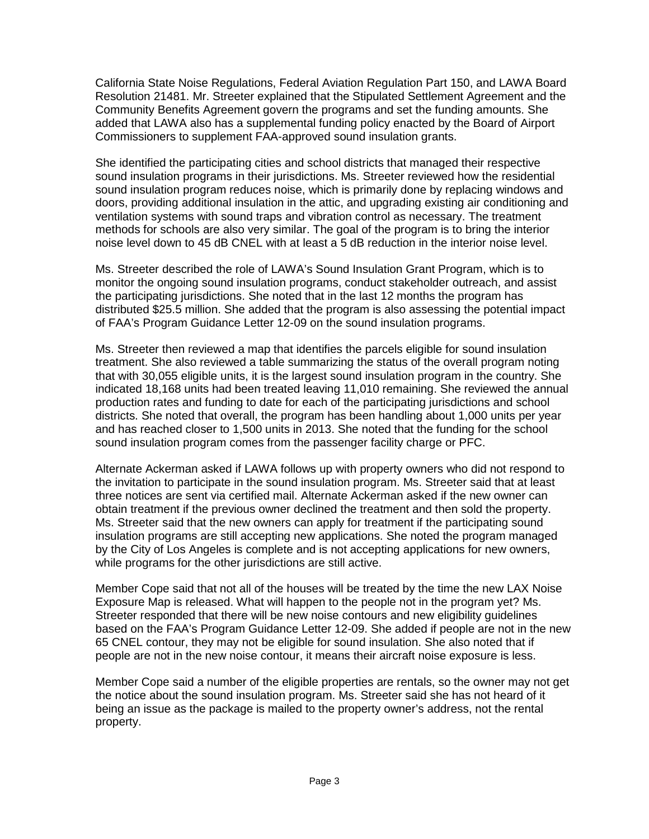California State Noise Regulations, Federal Aviation Regulation Part 150, and LAWA Board Resolution 21481. Mr. Streeter explained that the Stipulated Settlement Agreement and the Community Benefits Agreement govern the programs and set the funding amounts. She added that LAWA also has a supplemental funding policy enacted by the Board of Airport Commissioners to supplement FAA-approved sound insulation grants.

She identified the participating cities and school districts that managed their respective sound insulation programs in their jurisdictions. Ms. Streeter reviewed how the residential sound insulation program reduces noise, which is primarily done by replacing windows and doors, providing additional insulation in the attic, and upgrading existing air conditioning and ventilation systems with sound traps and vibration control as necessary. The treatment methods for schools are also very similar. The goal of the program is to bring the interior noise level down to 45 dB CNEL with at least a 5 dB reduction in the interior noise level.

Ms. Streeter described the role of LAWA's Sound Insulation Grant Program, which is to monitor the ongoing sound insulation programs, conduct stakeholder outreach, and assist the participating jurisdictions. She noted that in the last 12 months the program has distributed \$25.5 million. She added that the program is also assessing the potential impact of FAA's Program Guidance Letter 12-09 on the sound insulation programs.

Ms. Streeter then reviewed a map that identifies the parcels eligible for sound insulation treatment. She also reviewed a table summarizing the status of the overall program noting that with 30,055 eligible units, it is the largest sound insulation program in the country. She indicated 18,168 units had been treated leaving 11,010 remaining. She reviewed the annual production rates and funding to date for each of the participating jurisdictions and school districts. She noted that overall, the program has been handling about 1,000 units per year and has reached closer to 1,500 units in 2013. She noted that the funding for the school sound insulation program comes from the passenger facility charge or PFC.

Alternate Ackerman asked if LAWA follows up with property owners who did not respond to the invitation to participate in the sound insulation program. Ms. Streeter said that at least three notices are sent via certified mail. Alternate Ackerman asked if the new owner can obtain treatment if the previous owner declined the treatment and then sold the property. Ms. Streeter said that the new owners can apply for treatment if the participating sound insulation programs are still accepting new applications. She noted the program managed by the City of Los Angeles is complete and is not accepting applications for new owners, while programs for the other jurisdictions are still active.

Member Cope said that not all of the houses will be treated by the time the new LAX Noise Exposure Map is released. What will happen to the people not in the program yet? Ms. Streeter responded that there will be new noise contours and new eligibility guidelines based on the FAA's Program Guidance Letter 12-09. She added if people are not in the new 65 CNEL contour, they may not be eligible for sound insulation. She also noted that if people are not in the new noise contour, it means their aircraft noise exposure is less.

Member Cope said a number of the eligible properties are rentals, so the owner may not get the notice about the sound insulation program. Ms. Streeter said she has not heard of it being an issue as the package is mailed to the property owner's address, not the rental property.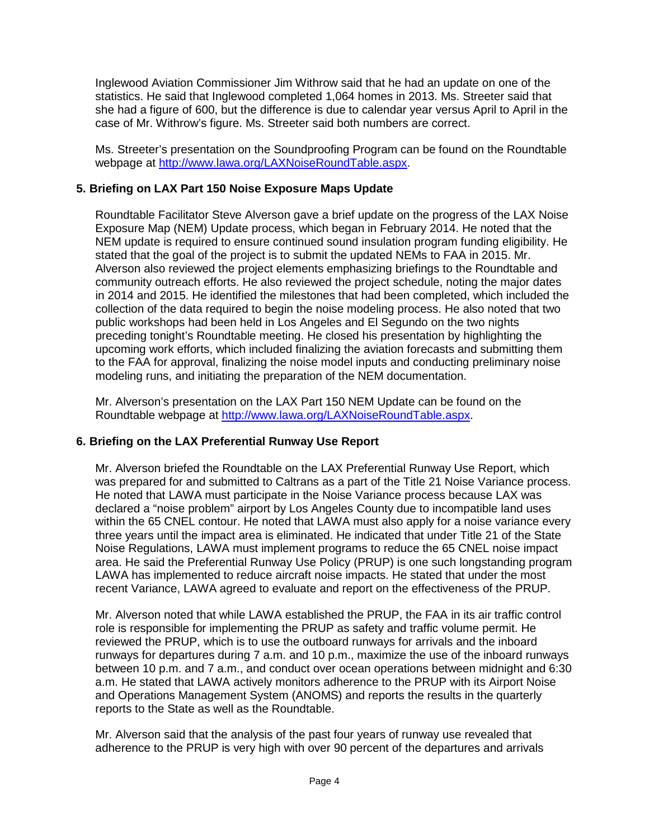Inglewood Aviation Commissioner Jim Withrow said that he had an update on one of the statistics. He said that Inglewood completed 1,064 homes in 2013. Ms. Streeter said that she had a figure of 600, but the difference is due to calendar year versus April to April in the case of Mr. Withrow's figure. Ms. Streeter said both numbers are correct.

Ms. Streeter's presentation on the Soundproofing Program can be found on the Roundtable webpage at [http://www.lawa.org/LAXNoiseRoundTable.aspx.](http://www.lawa.org/LAXNoiseRoundTable.aspx)

## **5. Briefing on LAX Part 150 Noise Exposure Maps Update**

Roundtable Facilitator Steve Alverson gave a brief update on the progress of the LAX Noise Exposure Map (NEM) Update process, which began in February 2014. He noted that the NEM update is required to ensure continued sound insulation program funding eligibility. He stated that the goal of the project is to submit the updated NEMs to FAA in 2015. Mr. Alverson also reviewed the project elements emphasizing briefings to the Roundtable and community outreach efforts. He also reviewed the project schedule, noting the major dates in 2014 and 2015. He identified the milestones that had been completed, which included the collection of the data required to begin the noise modeling process. He also noted that two public workshops had been held in Los Angeles and El Segundo on the two nights preceding tonight's Roundtable meeting. He closed his presentation by highlighting the upcoming work efforts, which included finalizing the aviation forecasts and submitting them to the FAA for approval, finalizing the noise model inputs and conducting preliminary noise modeling runs, and initiating the preparation of the NEM documentation.

Mr. Alverson's presentation on the LAX Part 150 NEM Update can be found on the Roundtable webpage at [http://www.lawa.org/LAXNoiseRoundTable.aspx.](http://www.lawa.org/LAXNoiseRoundTable.aspx)

## **6. Briefing on the LAX Preferential Runway Use Report**

Mr. Alverson briefed the Roundtable on the LAX Preferential Runway Use Report, which was prepared for and submitted to Caltrans as a part of the Title 21 Noise Variance process. He noted that LAWA must participate in the Noise Variance process because LAX was declared a "noise problem" airport by Los Angeles County due to incompatible land uses within the 65 CNEL contour. He noted that LAWA must also apply for a noise variance every three years until the impact area is eliminated. He indicated that under Title 21 of the State Noise Regulations, LAWA must implement programs to reduce the 65 CNEL noise impact area. He said the Preferential Runway Use Policy (PRUP) is one such longstanding program LAWA has implemented to reduce aircraft noise impacts. He stated that under the most recent Variance, LAWA agreed to evaluate and report on the effectiveness of the PRUP.

Mr. Alverson noted that while LAWA established the PRUP, the FAA in its air traffic control role is responsible for implementing the PRUP as safety and traffic volume permit. He reviewed the PRUP, which is to use the outboard runways for arrivals and the inboard runways for departures during 7 a.m. and 10 p.m., maximize the use of the inboard runways between 10 p.m. and 7 a.m., and conduct over ocean operations between midnight and 6:30 a.m. He stated that LAWA actively monitors adherence to the PRUP with its Airport Noise and Operations Management System (ANOMS) and reports the results in the quarterly reports to the State as well as the Roundtable.

Mr. Alverson said that the analysis of the past four years of runway use revealed that adherence to the PRUP is very high with over 90 percent of the departures and arrivals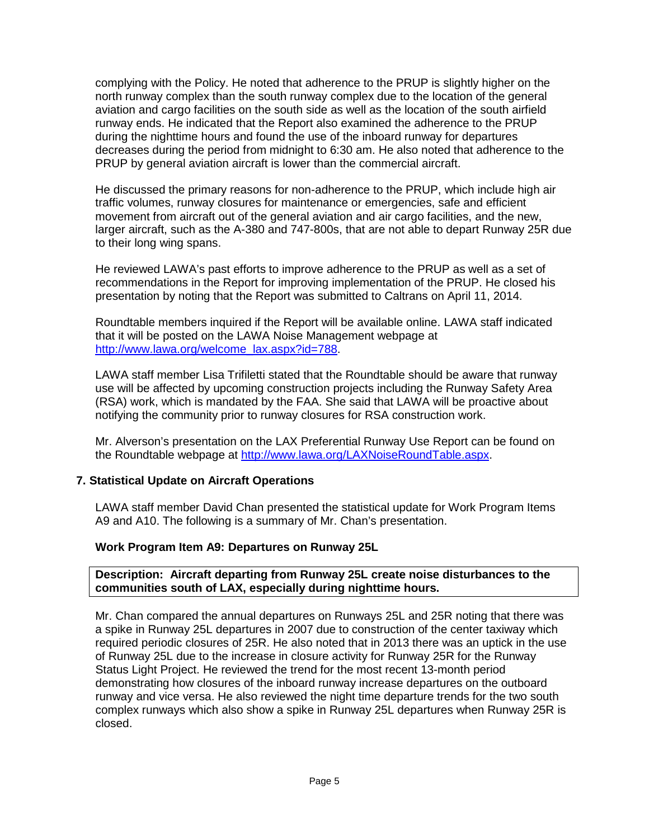complying with the Policy. He noted that adherence to the PRUP is slightly higher on the north runway complex than the south runway complex due to the location of the general aviation and cargo facilities on the south side as well as the location of the south airfield runway ends. He indicated that the Report also examined the adherence to the PRUP during the nighttime hours and found the use of the inboard runway for departures decreases during the period from midnight to 6:30 am. He also noted that adherence to the PRUP by general aviation aircraft is lower than the commercial aircraft.

He discussed the primary reasons for non-adherence to the PRUP, which include high air traffic volumes, runway closures for maintenance or emergencies, safe and efficient movement from aircraft out of the general aviation and air cargo facilities, and the new, larger aircraft, such as the A-380 and 747-800s, that are not able to depart Runway 25R due to their long wing spans.

He reviewed LAWA's past efforts to improve adherence to the PRUP as well as a set of recommendations in the Report for improving implementation of the PRUP. He closed his presentation by noting that the Report was submitted to Caltrans on April 11, 2014.

Roundtable members inquired if the Report will be available online. LAWA staff indicated that it will be posted on the LAWA Noise Management webpage at [http://www.lawa.org/welcome\\_lax.aspx?id=788.](http://www.lawa.org/welcome_lax.aspx?id=788)

LAWA staff member Lisa Trifiletti stated that the Roundtable should be aware that runway use will be affected by upcoming construction projects including the Runway Safety Area (RSA) work, which is mandated by the FAA. She said that LAWA will be proactive about notifying the community prior to runway closures for RSA construction work.

Mr. Alverson's presentation on the LAX Preferential Runway Use Report can be found on the Roundtable webpage at [http://www.lawa.org/LAXNoiseRoundTable.aspx.](http://www.lawa.org/LAXNoiseRoundTable.aspx)

## **7. Statistical Update on Aircraft Operations**

LAWA staff member David Chan presented the statistical update for Work Program Items A9 and A10. The following is a summary of Mr. Chan's presentation.

#### **Work Program Item A9: Departures on Runway 25L**

#### **Description: Aircraft departing from Runway 25L create noise disturbances to the communities south of LAX, especially during nighttime hours.**

Mr. Chan compared the annual departures on Runways 25L and 25R noting that there was a spike in Runway 25L departures in 2007 due to construction of the center taxiway which required periodic closures of 25R. He also noted that in 2013 there was an uptick in the use of Runway 25L due to the increase in closure activity for Runway 25R for the Runway Status Light Project. He reviewed the trend for the most recent 13-month period demonstrating how closures of the inboard runway increase departures on the outboard runway and vice versa. He also reviewed the night time departure trends for the two south complex runways which also show a spike in Runway 25L departures when Runway 25R is closed.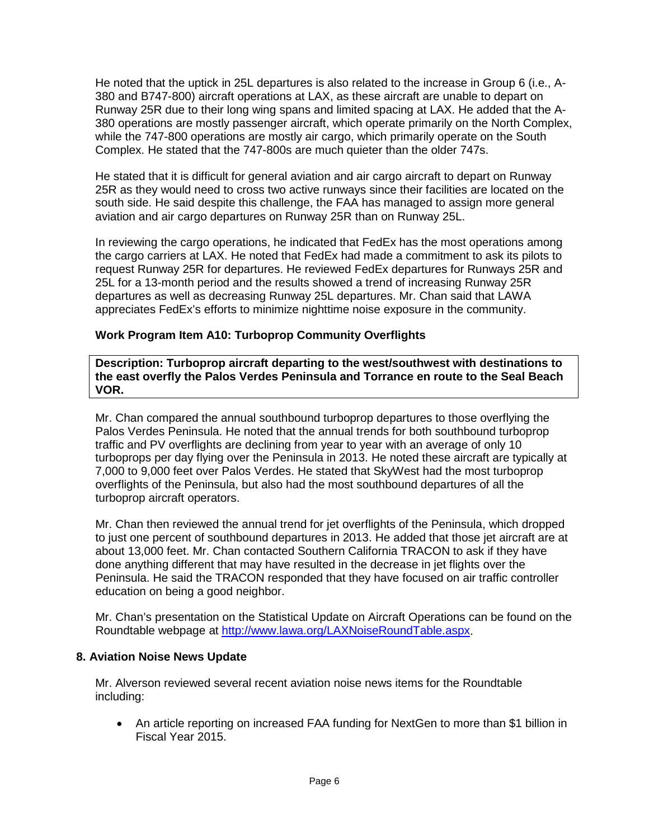He noted that the uptick in 25L departures is also related to the increase in Group 6 (i.e., A-380 and B747-800) aircraft operations at LAX, as these aircraft are unable to depart on Runway 25R due to their long wing spans and limited spacing at LAX. He added that the A-380 operations are mostly passenger aircraft, which operate primarily on the North Complex, while the 747-800 operations are mostly air cargo, which primarily operate on the South Complex. He stated that the 747-800s are much quieter than the older 747s.

He stated that it is difficult for general aviation and air cargo aircraft to depart on Runway 25R as they would need to cross two active runways since their facilities are located on the south side. He said despite this challenge, the FAA has managed to assign more general aviation and air cargo departures on Runway 25R than on Runway 25L.

In reviewing the cargo operations, he indicated that FedEx has the most operations among the cargo carriers at LAX. He noted that FedEx had made a commitment to ask its pilots to request Runway 25R for departures. He reviewed FedEx departures for Runways 25R and 25L for a 13-month period and the results showed a trend of increasing Runway 25R departures as well as decreasing Runway 25L departures. Mr. Chan said that LAWA appreciates FedEx's efforts to minimize nighttime noise exposure in the community.

## **Work Program Item A10: Turboprop Community Overflights**

**Description: Turboprop aircraft departing to the west/southwest with destinations to the east overfly the Palos Verdes Peninsula and Torrance en route to the Seal Beach VOR.**

Mr. Chan compared the annual southbound turboprop departures to those overflying the Palos Verdes Peninsula. He noted that the annual trends for both southbound turboprop traffic and PV overflights are declining from year to year with an average of only 10 turboprops per day flying over the Peninsula in 2013. He noted these aircraft are typically at 7,000 to 9,000 feet over Palos Verdes. He stated that SkyWest had the most turboprop overflights of the Peninsula, but also had the most southbound departures of all the turboprop aircraft operators.

Mr. Chan then reviewed the annual trend for jet overflights of the Peninsula, which dropped to just one percent of southbound departures in 2013. He added that those jet aircraft are at about 13,000 feet. Mr. Chan contacted Southern California TRACON to ask if they have done anything different that may have resulted in the decrease in jet flights over the Peninsula. He said the TRACON responded that they have focused on air traffic controller education on being a good neighbor.

Mr. Chan's presentation on the Statistical Update on Aircraft Operations can be found on the Roundtable webpage at [http://www.lawa.org/LAXNoiseRoundTable.aspx.](http://www.lawa.org/LAXNoiseRoundTable.aspx)

## **8. Aviation Noise News Update**

Mr. Alverson reviewed several recent aviation noise news items for the Roundtable including:

• An article reporting on increased FAA funding for NextGen to more than \$1 billion in Fiscal Year 2015.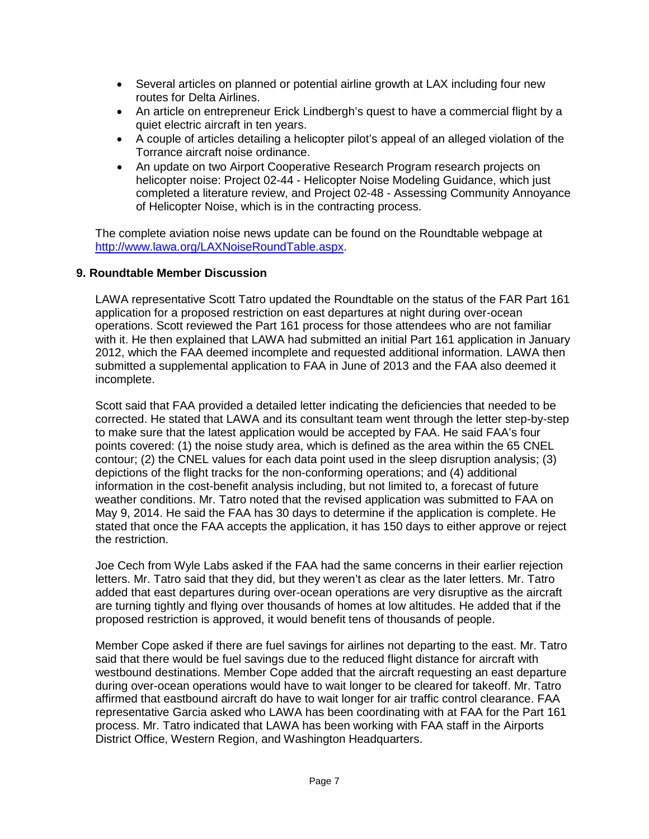- Several articles on planned or potential airline growth at LAX including four new routes for Delta Airlines.
- An article on entrepreneur Erick Lindbergh's quest to have a commercial flight by a quiet electric aircraft in ten years.
- A couple of articles detailing a helicopter pilot's appeal of an alleged violation of the Torrance aircraft noise ordinance.
- An update on two Airport Cooperative Research Program research projects on helicopter noise: Project 02-44 - Helicopter Noise Modeling Guidance, which just completed a literature review, and Project 02-48 - Assessing Community Annoyance of Helicopter Noise, which is in the contracting process.

The complete aviation noise news update can be found on the Roundtable webpage at [http://www.lawa.org/LAXNoiseRoundTable.aspx.](http://www.lawa.org/LAXNoiseRoundTable.aspx)

#### **9. Roundtable Member Discussion**

LAWA representative Scott Tatro updated the Roundtable on the status of the FAR Part 161 application for a proposed restriction on east departures at night during over-ocean operations. Scott reviewed the Part 161 process for those attendees who are not familiar with it. He then explained that LAWA had submitted an initial Part 161 application in January 2012, which the FAA deemed incomplete and requested additional information. LAWA then submitted a supplemental application to FAA in June of 2013 and the FAA also deemed it incomplete.

Scott said that FAA provided a detailed letter indicating the deficiencies that needed to be corrected. He stated that LAWA and its consultant team went through the letter step-by-step to make sure that the latest application would be accepted by FAA. He said FAA's four points covered: (1) the noise study area, which is defined as the area within the 65 CNEL contour; (2) the CNEL values for each data point used in the sleep disruption analysis; (3) depictions of the flight tracks for the non-conforming operations; and (4) additional information in the cost-benefit analysis including, but not limited to, a forecast of future weather conditions. Mr. Tatro noted that the revised application was submitted to FAA on May 9, 2014. He said the FAA has 30 days to determine if the application is complete. He stated that once the FAA accepts the application, it has 150 days to either approve or reject the restriction.

Joe Cech from Wyle Labs asked if the FAA had the same concerns in their earlier rejection letters. Mr. Tatro said that they did, but they weren't as clear as the later letters. Mr. Tatro added that east departures during over-ocean operations are very disruptive as the aircraft are turning tightly and flying over thousands of homes at low altitudes. He added that if the proposed restriction is approved, it would benefit tens of thousands of people.

Member Cope asked if there are fuel savings for airlines not departing to the east. Mr. Tatro said that there would be fuel savings due to the reduced flight distance for aircraft with westbound destinations. Member Cope added that the aircraft requesting an east departure during over-ocean operations would have to wait longer to be cleared for takeoff. Mr. Tatro affirmed that eastbound aircraft do have to wait longer for air traffic control clearance. FAA representative Garcia asked who LAWA has been coordinating with at FAA for the Part 161 process. Mr. Tatro indicated that LAWA has been working with FAA staff in the Airports District Office, Western Region, and Washington Headquarters.